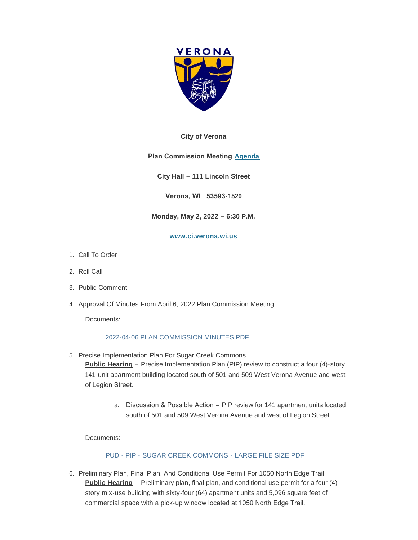

#### **City of Verona**

## **Plan Commission Meeting [Agenda](http://www.ci.verona.wi.us/DocumentCenter/View/3973/2022-05-02-Plan-Commission-Agenda)**

**City Hall – 111 Lincoln Street**

**Verona, WI 53593-1520**

## **Monday, May 2, 2022 – 6:30 P.M.**

#### **[www.ci.verona.wi.us](http://www.ci.verona.wi.us/)**

- 1. Call To Order
- 2. Roll Call
- 3. Public Comment
- 4. Approval Of Minutes From April 6, 2022 Plan Commission Meeting

Documents:

## [2022-04-06 PLAN COMMISSION MINUTES.PDF](http://www.ci.verona.wi.us/AgendaCenter/ViewFile/Item/140?fileID=3001)

- 5. Precise Implementation Plan For Sugar Creek Commons **Public Hearing** – Precise Implementation Plan (PIP) review to construct a four (4)-story, 141-unit apartment building located south of 501 and 509 West Verona Avenue and west of Legion Street.
	- a. Discussion & Possible Action PIP review for 141 apartment units located south of 501 and 509 West Verona Avenue and west of Legion Street.

Documents:

## PUD - PIP - [SUGAR CREEK COMMONS -](http://www.ci.verona.wi.us/AgendaCenter/ViewFile/Item/141?fileID=3002) LARGE FILE SIZE.PDF

6. Preliminary Plan, Final Plan, And Conditional Use Permit For 1050 North Edge Trail **Public Hearing** – Preliminary plan, final plan, and conditional use permit for a four (4) story mix-use building with sixty-four (64) apartment units and 5,096 square feet of commercial space with a pick-up window located at 1050 North Edge Trail.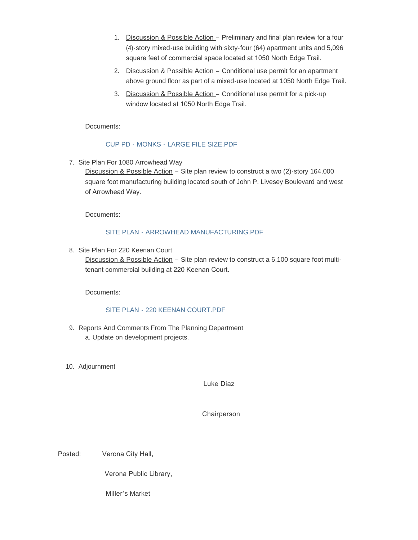- 1. Discussion & Possible Action Preliminary and final plan review for a four (4)-story mixed-use building with sixty-four (64) apartment units and 5,096 square feet of commercial space located at 1050 North Edge Trail.
- 2. Discussion & Possible Action Conditional use permit for an apartment above ground floor as part of a mixed-use located at 1050 North Edge Trail.
- 3. Discussion & Possible Action Conditional use permit for a pick-up window located at 1050 North Edge Trail.

Documents:

## CUP PD - MONKS - [LARGE FILE SIZE.PDF](http://www.ci.verona.wi.us/AgendaCenter/ViewFile/Item/142?fileID=3005)

7. Site Plan For 1080 Arrowhead Way

Discussion & Possible Action – Site plan review to construct a two (2)-story 164,000 square foot manufacturing building located south of John P. Livesey Boulevard and west of Arrowhead Way.

Documents:

# SITE PLAN - [ARROWHEAD MANUFACTURING.PDF](http://www.ci.verona.wi.us/AgendaCenter/ViewFile/Item/143?fileID=3003)

8. Site Plan For 220 Keenan Court

Discussion & Possible Action - Site plan review to construct a 6,100 square foot multitenant commercial building at 220 Keenan Court.

Documents:

## SITE PLAN - [220 KEENAN COURT.PDF](http://www.ci.verona.wi.us/AgendaCenter/ViewFile/Item/144?fileID=3004)

- 9. Reports And Comments From The Planning Department a. Update on development projects.
- 10. Adjournment

Luke Diaz

Chairperson

Posted: Verona City Hall,

Verona Public Library,

Miller's Market